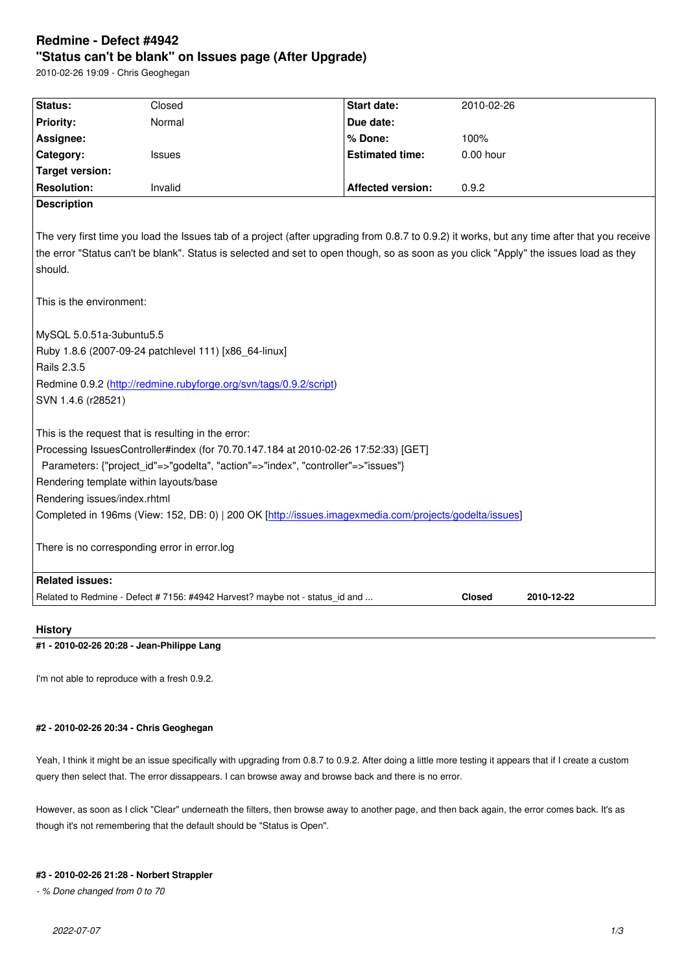#### **"Status can't be blank" on Issues page (After Upgrade)**

2010-02-26 19:09 - Chris Geoghegan

| Status:                                                                                                                                                                                                                                                                                          | Closed  | <b>Start date:</b>       | 2010-02-26 |
|--------------------------------------------------------------------------------------------------------------------------------------------------------------------------------------------------------------------------------------------------------------------------------------------------|---------|--------------------------|------------|
| <b>Priority:</b>                                                                                                                                                                                                                                                                                 | Normal  | Due date:                |            |
| Assignee:                                                                                                                                                                                                                                                                                        |         | % Done:                  | 100%       |
| Category:                                                                                                                                                                                                                                                                                        | Issues  | <b>Estimated time:</b>   | 0.00 hour  |
| <b>Target version:</b>                                                                                                                                                                                                                                                                           |         |                          |            |
| <b>Resolution:</b>                                                                                                                                                                                                                                                                               | Invalid | <b>Affected version:</b> | 0.9.2      |
| <b>Description</b>                                                                                                                                                                                                                                                                               |         |                          |            |
| The very first time you load the Issues tab of a project (after upgrading from 0.8.7 to 0.9.2) it works, but any time after that you receive<br>the error "Status can't be blank". Status is selected and set to open though, so as soon as you click "Apply" the issues load as they<br>should. |         |                          |            |
| This is the environment:                                                                                                                                                                                                                                                                         |         |                          |            |
| MySQL 5.0.51a-3ubuntu5.5                                                                                                                                                                                                                                                                         |         |                          |            |
| Ruby 1.8.6 (2007-09-24 patchlevel 111) [x86_64-linux]                                                                                                                                                                                                                                            |         |                          |            |
| Rails 2.3.5                                                                                                                                                                                                                                                                                      |         |                          |            |
| Redmine 0.9.2 (http://redmine.rubyforge.org/svn/tags/0.9.2/script)                                                                                                                                                                                                                               |         |                          |            |
| SVN 1.4.6 (r28521)                                                                                                                                                                                                                                                                               |         |                          |            |
| This is the request that is resulting in the error:                                                                                                                                                                                                                                              |         |                          |            |
| Processing IssuesController#index (for 70.70.147.184 at 2010-02-26 17:52:33) [GET]                                                                                                                                                                                                               |         |                          |            |
| Parameters: {"project_id"=>"godelta", "action"=>"index", "controller"=>"issues"}                                                                                                                                                                                                                 |         |                          |            |
| Rendering template within layouts/base                                                                                                                                                                                                                                                           |         |                          |            |
| Rendering issues/index.rhtml                                                                                                                                                                                                                                                                     |         |                          |            |
| Completed in 196ms (View: 152, DB: 0)   200 OK [http://issues.imagexmedia.com/projects/godelta/issues]                                                                                                                                                                                           |         |                          |            |
|                                                                                                                                                                                                                                                                                                  |         |                          |            |
| There is no corresponding error in error.log                                                                                                                                                                                                                                                     |         |                          |            |
| <b>Related issues:</b>                                                                                                                                                                                                                                                                           |         |                          |            |
| Related to Redmine - Defect # 7156: #4942 Harvest? maybe not - status_id and<br><b>Closed</b><br>2010-12-22                                                                                                                                                                                      |         |                          |            |
|                                                                                                                                                                                                                                                                                                  |         |                          |            |

## **History**

## **#1 - 2010-02-26 20:28 - Jean-Philippe Lang**

I'm not able to reproduce with a fresh 0.9.2.

# **#2 - 2010-02-26 20:34 - Chris Geoghegan**

Yeah, I think it might be an issue specifically with upgrading from 0.8.7 to 0.9.2. After doing a little more testing it appears that if I create a custom query then select that. The error dissappears. I can browse away and browse back and there is no error.

However, as soon as I click "Clear" underneath the filters, then browse away to another page, and then back again, the error comes back. It's as though it's not remembering that the default should be "Status is Open".

## **#3 - 2010-02-26 21:28 - Norbert Strappler**

*- % Done changed from 0 to 70*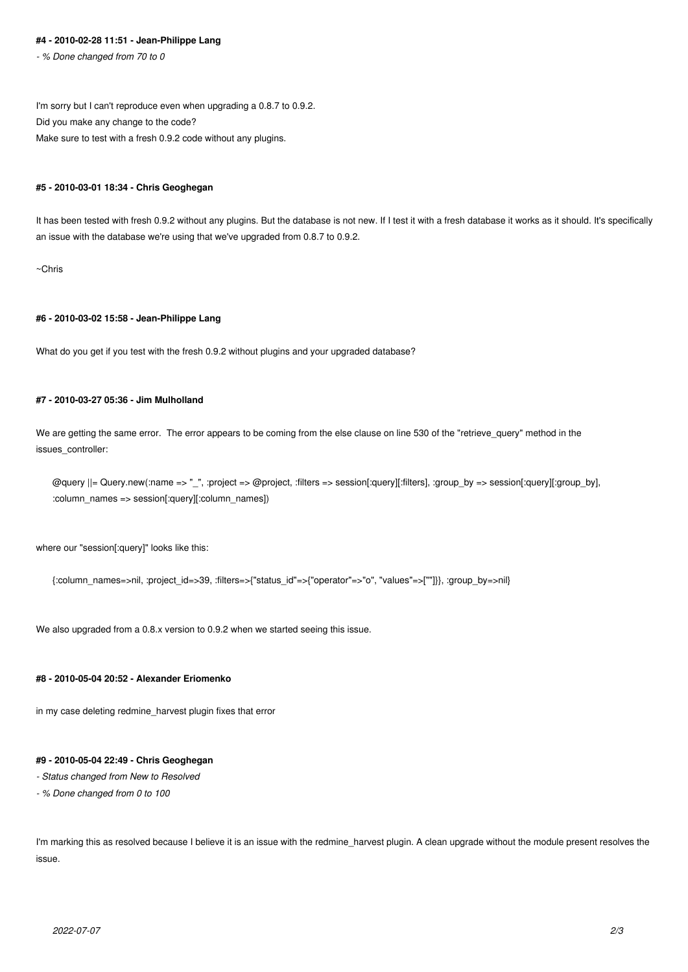#### **#4 - 2010-02-28 11:51 - Jean-Philippe Lang**

*- % Done changed from 70 to 0*

I'm sorry but I can't reproduce even when upgrading a 0.8.7 to 0.9.2. Did you make any change to the code? Make sure to test with a fresh 0.9.2 code without any plugins.

#### **#5 - 2010-03-01 18:34 - Chris Geoghegan**

It has been tested with fresh 0.9.2 without any plugins. But the database is not new. If I test it with a fresh database it works as it should. It's specifically an issue with the database we're using that we've upgraded from 0.8.7 to 0.9.2.

~Chris

## **#6 - 2010-03-02 15:58 - Jean-Philippe Lang**

What do you get if you test with the fresh 0.9.2 without plugins and your upgraded database?

# **#7 - 2010-03-27 05:36 - Jim Mulholland**

We are getting the same error. The error appears to be coming from the else clause on line 530 of the "retrieve\_query" method in the issues\_controller:

@query ||= Query.new(:name => "\_", :project => @project, :filters => session[:query][:filters], :group\_by => session[:query][:group\_by], :column\_names => session[:query][:column\_names])

where our "session[:query]" looks like this:

{:column\_names=>nil, :project\_id=>39, :filters=>{"status\_id"=>{"operator"=>"o", "values"=>[""]}}, :group\_by=>nil}

We also upgraded from a 0.8.x version to 0.9.2 when we started seeing this issue.

# **#8 - 2010-05-04 20:52 - Alexander Eriomenko**

in my case deleting redmine\_harvest plugin fixes that error

#### **#9 - 2010-05-04 22:49 - Chris Geoghegan**

*- Status changed from New to Resolved*

*- % Done changed from 0 to 100*

I'm marking this as resolved because I believe it is an issue with the redmine harvest plugin. A clean upgrade without the module present resolves the issue.